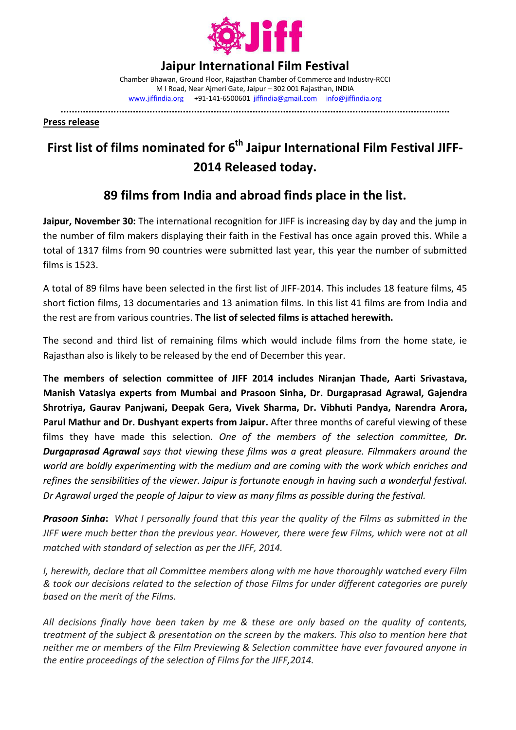

## **Jaipur International Film Festival**

Chamber Bhawan, Ground Floor, Rajasthan Chamber of Commerce and Industry-RCCI M I Road, Near Ajmeri Gate, Jaipur – 302 001 Rajasthan, INDIA www.jiffindia.org +91-141-6500601 jiffindia@gmail.com info@jiffindia.org

**............................................................................................................................................** 

**Press release**

## **First list of films nominated for 6th Jaipur International Film Festival JIFF-2014 Released today.**

## **89 films from India and abroad finds place in the list.**

**Jaipur, November 30:** The international recognition for JIFF is increasing day by day and the jump in the number of film makers displaying their faith in the Festival has once again proved this. While a total of 1317 films from 90 countries were submitted last year, this year the number of submitted films is 1523.

A total of 89 films have been selected in the first list of JIFF-2014. This includes 18 feature films, 45 short fiction films, 13 documentaries and 13 animation films. In this list 41 films are from India and the rest are from various countries. **The list of selected films is attached herewith.**

The second and third list of remaining films which would include films from the home state, ie Rajasthan also is likely to be released by the end of December this year.

**The members of selection committee of JIFF 2014 includes Niranjan Thade, Aarti Srivastava, Manish Vataslya experts from Mumbai and Prasoon Sinha, Dr. Durgaprasad Agrawal, Gajendra Shrotriya, Gaurav Panjwani, Deepak Gera, Vivek Sharma, Dr. Vibhuti Pandya, Narendra Arora, Parul Mathur and Dr. Dushyant experts from Jaipur.** After three months of careful viewing of these films they have made this selection. *One of the members of the selection committee, Dr. Durgaprasad Agrawal says that viewing these films was a great pleasure. Filmmakers around the world are boldly experimenting with the medium and are coming with the work which enriches and refines the sensibilities of the viewer. Jaipur is fortunate enough in having such a wonderful festival. Dr Agrawal urged the people of Jaipur to view as many films as possible during the festival.* 

*Prasoon Sinha***:** *What I personally found that this year the quality of the Films as submitted in the JIFF were much better than the previous year. However, there were few Films, which were not at all matched with standard of selection as per the JIFF, 2014.* 

*I, herewith, declare that all Committee members along with me have thoroughly watched every Film & took our decisions related to the selection of those Films for under different categories are purely based on the merit of the Films.* 

*All decisions finally have been taken by me & these are only based on the quality of contents, treatment of the subject & presentation on the screen by the makers. This also to mention here that neither me or members of the Film Previewing & Selection committee have ever favoured anyone in the entire proceedings of the selection of Films for the JIFF,2014.*